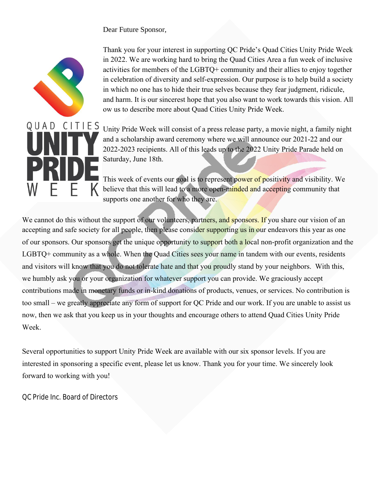Dear Future Sponsor,



Thank you for your interest in supporting QC Pride's Quad Cities Unity Pride Week in 2022. We are working hard to bring the Quad Cities Area a fun week of inclusive activities for members of the LGBTQ+ community and their allies to enjoy together in celebration of diversity and self-expression. Our purpose is to help build a society in which no one has to hide their true selves because they fear judgment, ridicule, and harm. It is our sincerest hope that you also want to work towards this vision. All ow us to describe more about Quad Cities Unity Pride Week.

Unity Pride Week will consist of a press release party, a movie night, a family night and a scholarship award ceremony where we will announce our 2021-22 and our 20222023 recipients. All of this leads up to the 2022 Unity Pride Parade held on Saturday, June 18th.

This week of events our goal is to represent power of positivity and visibility. We believe that this will lead to a more open-minded and accepting community that supports one another for who they are.

We cannot do this without the support of our volunteers, partners, and sponsors. If you share our vision of an accepting and safe society for all people, then please consider supporting us in our endeavors this year as one of our sponsors. Our sponsors get the unique opportunity to support both a local non-profit organization and the LGBTQ+ community as a whole. When the Quad Cities sees your name in tandem with our events, residents and visitors will know that you do not tolerate hate and that you proudly stand by your neighbors. With this, we humbly ask you or your organization for whatever support you can provide. We graciously accept contributions made in monetary funds or in-kind donations of products, venues, or services. No contribution is too small – we greatly appreciate any form of support for QC Pride and our work. If you are unable to assist us now, then we ask that you keep us in your thoughts and encourage others to attend Quad Cities Unity Pride Week.

Several opportunities to support Unity Pride Week are available with our six sponsor levels. If you are interested in sponsoring a specific event, please let us know. Thank you for your time. We sincerely look forward to working with you!

## QC Pride Inc. Board of Directors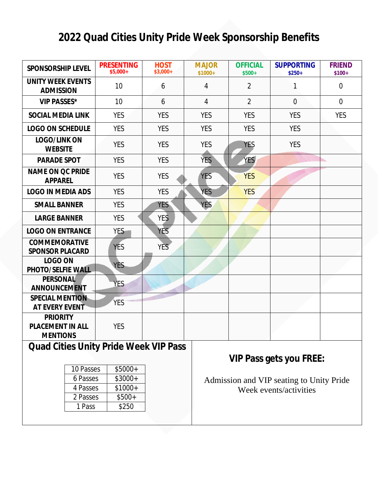## **2022 Quad Cities Unity Pride Week Sponsorship Benefits**

| <b>SPONSORSHIP LEVEL</b>                                                     | <b>PRESENTING</b><br>$$5,000+$                       | <b>HOST</b><br>$$3,000+$ | <b>MAJOR</b><br>$$1000+$                                           | <b>OFFICIAL</b><br>$$500+$     | <b>SUPPORTING</b><br>$$250+$ | <b>FRIEND</b><br>$$100+$ |  |
|------------------------------------------------------------------------------|------------------------------------------------------|--------------------------|--------------------------------------------------------------------|--------------------------------|------------------------------|--------------------------|--|
| <b>UNITY WEEK EVENTS</b><br><b>ADMISSION</b>                                 | 10                                                   | 6                        | $\boldsymbol{4}$                                                   | $\boldsymbol{2}$               | 1                            | $\bf{0}$                 |  |
| <b>VIP PASSES*</b>                                                           | 10                                                   | $6\phantom{1}$           | 4                                                                  | $\overline{2}$                 | $\bf{0}$                     | $\bf{0}$                 |  |
| <b>SOCIAL MEDIA LINK</b>                                                     | <b>YES</b>                                           | <b>YES</b>               | <b>YES</b>                                                         | <b>YES</b>                     | <b>YES</b>                   | <b>YES</b>               |  |
| <b>LOGO ON SCHEDULE</b>                                                      | <b>YES</b>                                           | <b>YES</b>               | <b>YES</b>                                                         | <b>YES</b>                     | <b>YES</b>                   |                          |  |
| <b>IOGO/INKON</b><br><b>WEBSITE</b>                                          | <b>YES</b>                                           | <b>YES</b>               | <b>YES</b>                                                         | <b>YES</b>                     | <b>YES</b>                   |                          |  |
| <b>PARADE SPOT</b>                                                           | <b>YES</b>                                           | <b>YES</b>               | <b>YES</b>                                                         | <b>YES</b>                     |                              |                          |  |
| <b>NAME ON QC PRIDE</b><br><b>APPAREL</b>                                    | <b>YES</b>                                           | <b>YES</b>               | <b>YES</b>                                                         | <b>YES</b>                     |                              |                          |  |
| <b>LOGO IN MEDIA ADS</b>                                                     | <b>YES</b>                                           | <b>YES</b>               | <b>YES</b>                                                         | <b>YES</b>                     |                              |                          |  |
| <b>SMALL BANNER</b>                                                          | <b>YES</b>                                           | YES <sup>®</sup>         | <b>YES</b>                                                         |                                |                              |                          |  |
| <b>LARGE BANNER</b>                                                          | <b>YES</b>                                           | <b>YES</b>               |                                                                    |                                |                              |                          |  |
| <b>LOGO ON ENTRANCE</b>                                                      | YES-                                                 | <b>YES</b>               |                                                                    |                                |                              |                          |  |
| <b>COMMEMORATIVE</b><br><b>SPONSOR PLACARD</b>                               | <b>YES</b>                                           | <b>YES</b>               |                                                                    |                                |                              |                          |  |
| <b>LOGO ON</b><br><b>PHOTO/SELFIE WALL</b>                                   | YES.                                                 |                          |                                                                    |                                |                              |                          |  |
| <b>PERSONAL</b><br><b>ANNOUNCEMENT</b>                                       | <b>YES</b>                                           |                          |                                                                    |                                |                              |                          |  |
| <b>SPECIAL MENTION</b><br><b>AT EVERY EVENT</b>                              | <b>YES</b>                                           |                          |                                                                    |                                |                              |                          |  |
| <b>PRIORITY</b><br><b>PIACEMENT IN ALL</b><br><b>MENTIONS</b>                | <b>YES</b>                                           |                          |                                                                    |                                |                              |                          |  |
| <b>Quad Cities Unity Pride Week VIP Pass</b>                                 |                                                      |                          |                                                                    | <b>VIP Pass gets you FREE:</b> |                              |                          |  |
| <b>10 Passes</b><br><b>6 Passes</b><br><b>4 Passes</b><br>2 Passes<br>1 Pass | $$5000+$<br>$$3000+$<br>$$1000+$<br>$$500+$<br>\$250 |                          | Admission and VIP seating to Unity Pride<br>Week events/activities |                                |                              |                          |  |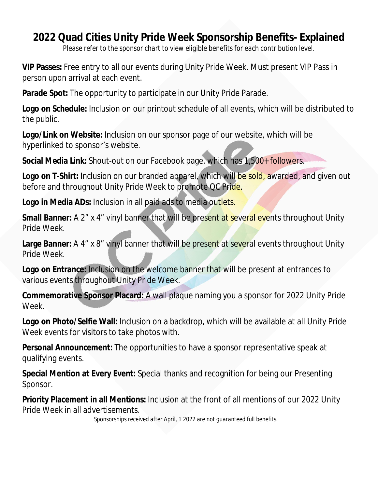## **2022 Quad Cities Unity Pride Week Sponsorship Benefits- Explained**

*Please refer to the sponsor chart to view eligible benefits for each contribution level.*

**VIP Passes:** Free entry to all our events during Unity Pride Week. Must present VIP Pass in person upon arrival at each event.

**Parade Spot:** The opportunity to participate in our Unity Pride Parade.

**Logo on Schedule:** Inclusion on our printout schedule of all events, which will be distributed to the public.

**Logo/Link on Website:** Inclusion on our sponsor page of our website, which will be hyperlinked to sponsor's website.

**Social Media Link:** Shout-out on our Facebook page, which has 1,500+ followers.

**Logo on T-Shirt:** Inclusion on our branded apparel, which will be sold, awarded, and given out before and throughout Unity Pride Week to promote QC Pride.

**Logo in Media ADs:** Inclusion in all paid ads to media outlets.

**Small Banner:** A 2" x 4" vinyl banner that will be present at several events throughout Unity Pride Week.

**Large Banner:** A 4" x 8" vinyl banner that will be present at several events throughout Unity Pride Week.

**Logo on Entrance:** Inclusion on the welcome banner that will be present at entrances to various events throughout Unity Pride Week.

**Commemorative Sponsor Placard:** A wall plaque naming you a sponsor for 2022 Unity Pride Week.

**Logo on Photo/Selfie Wall:** Inclusion on a backdrop, which will be available at all Unity Pride Week events for visitors to take photos with.

**Personal Announcement:** The opportunities to have a sponsor representative speak at qualifying events.

**Special Mention at Every Event:** Special thanks and recognition for being our Presenting Sponsor.

**Priority Placement in all Mentions:** Inclusion at the front of all mentions of our 2022 Unity Pride Week in all advertisements.

*Sponsorships received after April, 1 2022 are not guaranteed full benefits.*